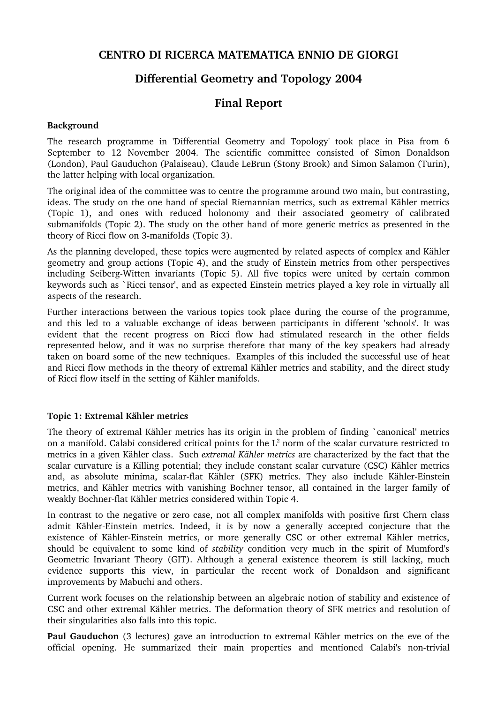## **CENTRO DI RICERCA MATEMATICA ENNIO DE GIORGI**

# **Differential Geometry and Topology 2004**

# **Final Report**

#### **Background**

The research programme in 'Differential Geometry and Topology' took place in Pisa from 6 September to 12 November 2004. The scientific committee consisted of Simon Donaldson (London), Paul Gauduchon (Palaiseau), Claude LeBrun (Stony Brook) and Simon Salamon (Turin), the latter helping with local organization.

The original idea of the committee was to centre the programme around two main, but contrasting, ideas. The study on the one hand of special Riemannian metrics, such as extremal Kähler metrics (Topic 1), and ones with reduced holonomy and their associated geometry of calibrated submanifolds (Topic 2). The study on the other hand of more generic metrics as presented in the theory of Ricci flow on 3-manifolds (Topic 3).

As the planning developed, these topics were augmented by related aspects of complex and Kähler geometry and group actions (Topic 4), and the study of Einstein metrics from other perspectives including Seiberg-Witten invariants (Topic 5). All five topics were united by certain common keywords such as `Ricci tensor', and as expected Einstein metrics played a key role in virtually all aspects of the research.

Further interactions between the various topics took place during the course of the programme, and this led to a valuable exchange of ideas between participants in different 'schools'. It was evident that the recent progress on Ricci flow had stimulated research in the other fields represented below, and it was no surprise therefore that many of the key speakers had already taken on board some of the new techniques. Examples of this included the successful use of heat and Ricci flow methods in the theory of extremal Kähler metrics and stability, and the direct study of Ricci flow itself in the setting of Kähler manifolds.

## **Topic 1: Extremal Kähler metrics**

The theory of extremal Kähler metrics has its origin in the problem of finding `canonical' metrics on a manifold. Calabi considered critical points for the  $L^2$  norm of the scalar curvature restricted to metrics in a given Kähler class. Such *extremal Kähler metrics* are characterized by the fact that the scalar curvature is a Killing potential; they include constant scalar curvature (CSC) Kähler metrics and, as absolute minima, scalar-flat Kähler (SFK) metrics. They also include Kähler-Einstein metrics, and Kähler metrics with vanishing Bochner tensor, all contained in the larger family of weakly Bochner-flat Kähler metrics considered within Topic 4.

In contrast to the negative or zero case, not all complex manifolds with positive first Chern class admit Kähler-Einstein metrics. Indeed, it is by now a generally accepted conjecture that the existence of Kähler-Einstein metrics, or more generally CSC or other extremal Kähler metrics, should be equivalent to some kind of *stability* condition very much in the spirit of Mumford's Geometric Invariant Theory (GIT). Although a general existence theorem is still lacking, much evidence supports this view, in particular the recent work of Donaldson and significant improvements by Mabuchi and others.

Current work focuses on the relationship between an algebraic notion of stability and existence of CSC and other extremal Kähler metrics. The deformation theory of SFK metrics and resolution of their singularities also falls into this topic.

**Paul Gauduchon** (3 lectures) gave an introduction to extremal Kähler metrics on the eve of the official opening. He summarized their main properties and mentioned Calabi's non-trivial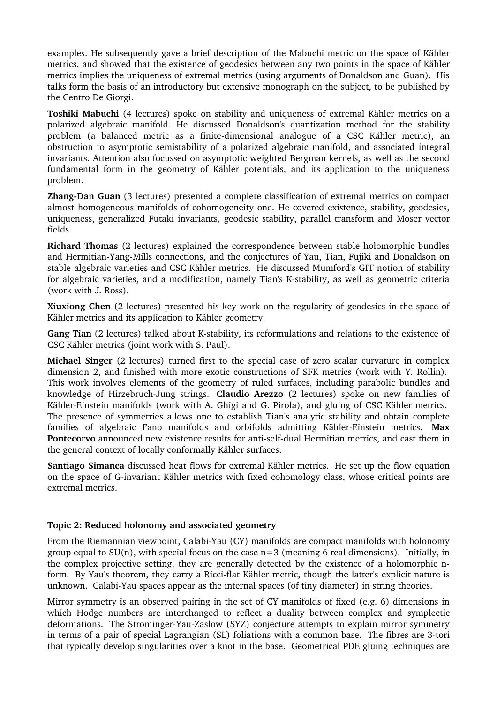examples. He subsequently gave a brief description of the Mabuchi metric on the space of Kähler metrics, and showed that the existence of geodesics between any two points in the space of Kähler metrics implies the uniqueness of extremal metrics (using arguments of Donaldson and Guan). His talks form the basis of an introductory but extensive monograph on the subject, to be published by the Centro De Giorgi.

**Toshiki Mabuchi** (4 lectures) spoke on stability and uniqueness of extremal Kähler metrics on a polarized algebraic manifold. He discussed Donaldson's quantization method for the stability problem (a balanced metric as a finitedimensional analogue of a CSC Kähler metric), an obstruction to asymptotic semistability of a polarized algebraic manifold, and associated integral invariants. Attention also focussed on asymptotic weighted Bergman kernels, as well as the second fundamental form in the geometry of Kähler potentials, and its application to the uniqueness problem.

**Zhang-Dan Guan** (3 lectures) presented a complete classification of extremal metrics on compact almost homogeneous manifolds of cohomogeneity one. He covered existence, stability, geodesics, uniqueness, generalized Futaki invariants, geodesic stability, parallel transform and Moser vector fields.

**Richard Thomas** (2 lectures) explained the correspondence between stable holomorphic bundles and Hermitian-Yang-Mills connections, and the conjectures of Yau, Tian, Fujiki and Donaldson on stable algebraic varieties and CSC Kähler metrics. He discussed Mumford's GIT notion of stability for algebraic varieties, and a modification, namely Tian's K-stability, as well as geometric criteria (work with J. Ross).

**Xiuxiong Chen** (2 lectures) presented his key work on the regularity of geodesics in the space of Kähler metrics and its application to Kähler geometry.

**Gang Tian** (2 lectures) talked about K-stability, its reformulations and relations to the existence of CSC Kähler metrics (joint work with S. Paul).

**Michael Singer** (2 lectures) turned first to the special case of zero scalar curvature in complex dimension 2, and finished with more exotic constructions of SFK metrics (work with Y. Rollin). This work involves elements of the geometry of ruled surfaces, including parabolic bundles and knowledge of Hirzebruch-Jung strings. **Claudio Arezzo** (2 lectures) spoke on new families of Kähler-Einstein manifolds (work with A. Ghigi and G. Pirola), and gluing of CSC Kähler metrics. The presence of symmetries allows one to establish Tian's analytic stability and obtain complete families of algebraic Fano manifolds and orbifolds admitting Kähler-Einstein metrics. Max Pontecorvo announced new existence results for anti-self-dual Hermitian metrics, and cast them in the general context of locally conformally Kähler surfaces.

**Santiago Simanca** discussed heat flows for extremal Kähler metrics. He set up the flow equation on the space of G-invariant Kähler metrics with fixed cohomology class, whose critical points are extremal metrics.

## **Topic 2: Reduced holonomy and associated geometry**

From the Riemannian viewpoint, Calabi-Yau (CY) manifolds are compact manifolds with holonomy group equal to  $SU(n)$ , with special focus on the case  $n=3$  (meaning 6 real dimensions). Initially, in the complex projective setting, they are generally detected by the existence of a holomorphic nform. By Yau's theorem, they carry a Ricci-flat Kähler metric, though the latter's explicit nature is unknown. Calabi-Yau spaces appear as the internal spaces (of tiny diameter) in string theories.

Mirror symmetry is an observed pairing in the set of CY manifolds of fixed (e.g. 6) dimensions in which Hodge numbers are interchanged to reflect a duality between complex and symplectic deformations. The Strominger-Yau-Zaslow (SYZ) conjecture attempts to explain mirror symmetry in terms of a pair of special Lagrangian (SL) foliations with a common base. The fibres are 3-tori that typically develop singularities over a knot in the base. Geometrical PDE gluing techniques are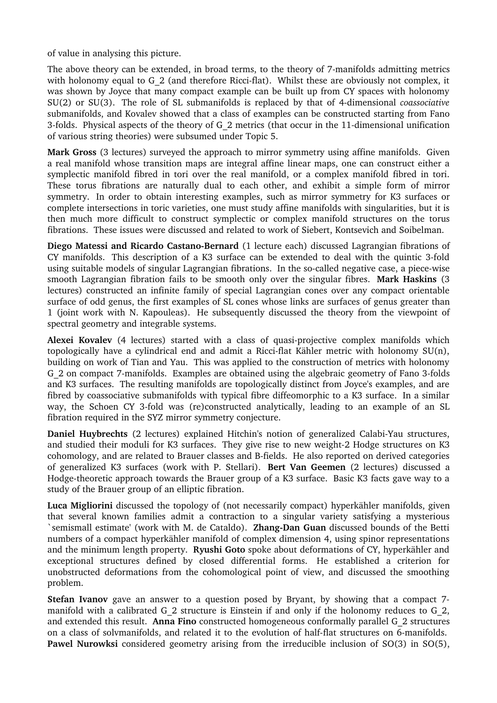of value in analysing this picture.

The above theory can be extended, in broad terms, to the theory of 7-manifolds admitting metrics with holonomy equal to G\_2 (and therefore Ricci-flat). Whilst these are obviously not complex, it was shown by Joyce that many compact example can be built up from CY spaces with holonomy SU(2) or SU(3). The role of SL submanifolds is replaced by that of 4dimensional *coassociative* submanifolds, and Kovalev showed that a class of examples can be constructed starting from Fano 3-folds. Physical aspects of the theory of G\_2 metrics (that occur in the 11-dimensional unification of various string theories) were subsumed under Topic 5.

**Mark Gross** (3 lectures) surveyed the approach to mirror symmetry using affine manifolds. Given a real manifold whose transition maps are integral affine linear maps, one can construct either a symplectic manifold fibred in tori over the real manifold, or a complex manifold fibred in tori. These torus fibrations are naturally dual to each other, and exhibit a simple form of mirror symmetry. In order to obtain interesting examples, such as mirror symmetry for K3 surfaces or complete intersections in toric varieties, one must study affine manifolds with singularities, but it is then much more difficult to construct symplectic or complex manifold structures on the torus fibrations. These issues were discussed and related to work of Siebert, Kontsevich and Soibelman.

**Diego Matessi and Ricardo Castano-Bernard** (1 lecture each) discussed Lagrangian fibrations of CY manifolds. This description of a K3 surface can be extended to deal with the quintic 3-fold using suitable models of singular Lagrangian fibrations. In the so-called negative case, a piece-wise smooth Lagrangian fibration fails to be smooth only over the singular fibres. **Mark Haskins** (3 lectures) constructed an infinite family of special Lagrangian cones over any compact orientable surface of odd genus, the first examples of SL cones whose links are surfaces of genus greater than 1 (joint work with N. Kapouleas). He subsequently discussed the theory from the viewpoint of spectral geometry and integrable systems.

Alexei Kovalev (4 lectures) started with a class of quasi-projective complex manifolds which topologically have a cylindrical end and admit a Ricci-flat Kähler metric with holonomy  $SU(n)$ , building on work of Tian and Yau. This was applied to the construction of metrics with holonomy G 2 on compact 7-manifolds. Examples are obtained using the algebraic geometry of Fano 3-folds and K3 surfaces. The resulting manifolds are topologically distinct from Joyce's examples, and are fibred by coassociative submanifolds with typical fibre diffeomorphic to a K3 surface. In a similar way, the Schoen CY 3-fold was (re)constructed analytically, leading to an example of an SL fibration required in the SYZ mirror symmetry conjecture.

**Daniel Huybrechts** (2 lectures) explained Hitchin's notion of generalized Calabi-Yau structures, and studied their moduli for K3 surfaces. They give rise to new weight-2 Hodge structures on K3 cohomology, and are related to Brauer classes and B-fields. He also reported on derived categories of generalized K3 surfaces (work with P. Stellari). **Bert Van Geemen** (2 lectures) discussed a Hodge-theoretic approach towards the Brauer group of a K3 surface. Basic K3 facts gave way to a study of the Brauer group of an elliptic fibration.

**Luca Migliorini** discussed the topology of (not necessarily compact) hyperkähler manifolds, given that several known families admit a contraction to a singular variety satisfying a mysterious `semismall estimate' (work with M. de Cataldo). **Zhang-Dan Guan** discussed bounds of the Betti numbers of a compact hyperkähler manifold of complex dimension 4, using spinor representations and the minimum length property. **Ryushi Goto** spoke about deformations of CY, hyperkähler and exceptional structures defined by closed differential forms. He established a criterion for unobstructed deformations from the cohomological point of view, and discussed the smoothing problem.

**Stefan Ivanov** gave an answer to a question posed by Bryant, by showing that a compact 7 manifold with a calibrated G\_2 structure is Einstein if and only if the holonomy reduces to G\_2, and extended this result. **Anna Fino** constructed homogeneous conformally parallel G\_2 structures on a class of solvmanifolds, and related it to the evolution of half-flat structures on 6-manifolds. **Pawel Nurowksi** considered geometry arising from the irreducible inclusion of SO(3) in SO(5),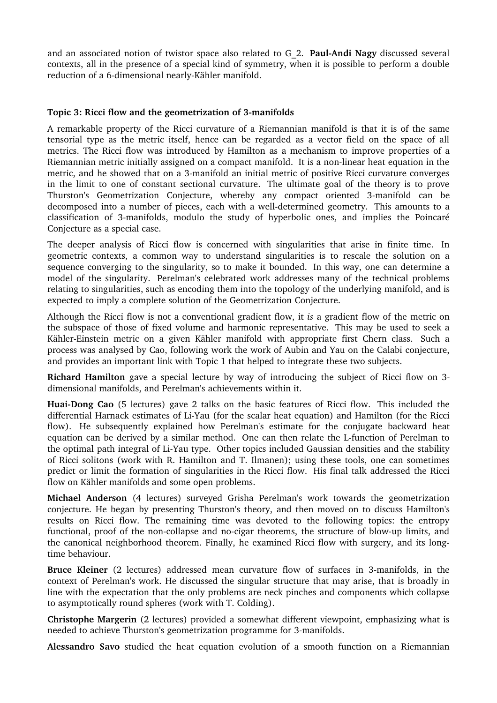and an associated notion of twistor space also related to G\_2. **PaulAndi Nagy** discussed several contexts, all in the presence of a special kind of symmetry, when it is possible to perform a double reduction of a 6-dimensional nearly-Kähler manifold.

#### **Topic 3: Ricci flow and the geometrization of 3-manifolds**

A remarkable property of the Ricci curvature of a Riemannian manifold is that it is of the same tensorial type as the metric itself, hence can be regarded as a vector field on the space of all metrics. The Ricci flow was introduced by Hamilton as a mechanism to improve properties of a Riemannian metric initially assigned on a compact manifold. It is a non-linear heat equation in the metric, and he showed that on a 3-manifold an initial metric of positive Ricci curvature converges in the limit to one of constant sectional curvature. The ultimate goal of the theory is to prove Thurston's Geometrization Conjecture, whereby any compact oriented 3manifold can be decomposed into a number of pieces, each with a well-determined geometry. This amounts to a classification of 3manifolds, modulo the study of hyperbolic ones, and implies the Poincaré Conjecture as a special case.

The deeper analysis of Ricci flow is concerned with singularities that arise in finite time. In geometric contexts, a common way to understand singularities is to rescale the solution on a sequence converging to the singularity, so to make it bounded. In this way, one can determine a model of the singularity. Perelman's celebrated work addresses many of the technical problems relating to singularities, such as encoding them into the topology of the underlying manifold, and is expected to imply a complete solution of the Geometrization Conjecture.

Although the Ricci flow is not a conventional gradient flow, it *is* a gradient flow of the metric on the subspace of those of fixed volume and harmonic representative. This may be used to seek a Kähler-Einstein metric on a given Kähler manifold with appropriate first Chern class. Such a process was analysed by Cao, following work the work of Aubin and Yau on the Calabi conjecture, and provides an important link with Topic 1 that helped to integrate these two subjects.

**Richard Hamilton** gave a special lecture by way of introducing the subject of Ricci flow on 3 dimensional manifolds, and Perelman's achievements within it.

**HuaiDong Cao** (5 lectures) gave 2 talks on the basic features of Ricci flow. This included the differential Harnack estimates of Li-Yau (for the scalar heat equation) and Hamilton (for the Ricci flow). He subsequently explained how Perelman's estimate for the conjugate backward heat equation can be derived by a similar method. One can then relate the L-function of Perelman to the optimal path integral of Li-Yau type. Other topics included Gaussian densities and the stability of Ricci solitons (work with R. Hamilton and T. Ilmanen); using these tools, one can sometimes predict or limit the formation of singularities in the Ricci flow. His final talk addressed the Ricci flow on Kähler manifolds and some open problems.

**Michael Anderson** (4 lectures) surveyed Grisha Perelman's work towards the geometrization conjecture. He began by presenting Thurston's theory, and then moved on to discuss Hamilton's results on Ricci flow. The remaining time was devoted to the following topics: the entropy functional, proof of the non-collapse and no-cigar theorems, the structure of blow-up limits, and the canonical neighborhood theorem. Finally, he examined Ricci flow with surgery, and its longtime behaviour.

**Bruce Kleiner** (2 lectures) addressed mean curvature flow of surfaces in 3manifolds, in the context of Perelman's work. He discussed the singular structure that may arise, that is broadly in line with the expectation that the only problems are neck pinches and components which collapse to asymptotically round spheres (work with T. Colding).

**Christophe Margerin** (2 lectures) provided a somewhat different viewpoint, emphasizing what is needed to achieve Thurston's geometrization programme for 3-manifolds.

**Alessandro Savo** studied the heat equation evolution of a smooth function on a Riemannian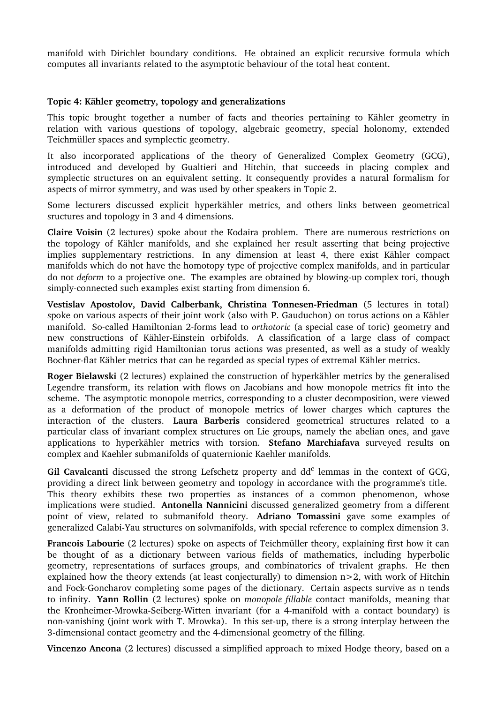manifold with Dirichlet boundary conditions. He obtained an explicit recursive formula which computes all invariants related to the asymptotic behaviour of the total heat content.

#### **Topic 4: Kähler geometry, topology and generalizations**

This topic brought together a number of facts and theories pertaining to Kähler geometry in relation with various questions of topology, algebraic geometry, special holonomy, extended Teichmüller spaces and symplectic geometry.

It also incorporated applications of the theory of Generalized Complex Geometry (GCG), introduced and developed by Gualtieri and Hitchin, that succeeds in placing complex and symplectic structures on an equivalent setting. It consequently provides a natural formalism for aspects of mirror symmetry, and was used by other speakers in Topic 2.

Some lecturers discussed explicit hyperkähler metrics, and others links between geometrical sructures and topology in 3 and 4 dimensions.

**Claire Voisin** (2 lectures) spoke about the Kodaira problem. There are numerous restrictions on the topology of Kähler manifolds, and she explained her result asserting that being projective implies supplementary restrictions. In any dimension at least 4, there exist Kähler compact manifolds which do not have the homotopy type of projective complex manifolds, and in particular do not *deform* to a projective one. The examples are obtained by blowing-up complex tori, though simply-connected such examples exist starting from dimension 6.

**Vestislav Apostolov, David Calberbank, Christina Tonnesen-Friedman (5 lectures in total)** spoke on various aspects of their joint work (also with P. Gauduchon) on torus actions on a Kähler manifold. So-called Hamiltonian 2-forms lead to *orthotoric* (a special case of toric) geometry and new constructions of Kähler-Einstein orbifolds. A classification of a large class of compact manifolds admitting rigid Hamiltonian torus actions was presented, as well as a study of weakly Bochner-flat Kähler metrics that can be regarded as special types of extremal Kähler metrics.

**Roger Bielawski** (2 lectures) explained the construction of hyperkähler metrics by the generalised Legendre transform, its relation with flows on Jacobians and how monopole metrics fit into the scheme. The asymptotic monopole metrics, corresponding to a cluster decomposition, were viewed as a deformation of the product of monopole metrics of lower charges which captures the interaction of the clusters. **Laura Barberis** considered geometrical structures related to a particular class of invariant complex structures on Lie groups, namely the abelian ones, and gave applications to hyperkähler metrics with torsion. **Stefano Marchiafava** surveyed results on complex and Kaehler submanifolds of quaternionic Kaehler manifolds.

Gil Cavalcanti discussed the strong Lefschetz property and dd<sup>c</sup> lemmas in the context of GCG, providing a direct link between geometry and topology in accordance with the programme's title. This theory exhibits these two properties as instances of a common phenomenon, whose implications were studied. **Antonella Nannicini** discussed generalized geometry from a different point of view, related to submanifold theory. **Adriano Tomassini** gave some examples of generalized Calabi-Yau structures on solvmanifolds, with special reference to complex dimension 3.

**Francois Labourie** (2 lectures) spoke on aspects of Teichmüller theory, explaining first how it can be thought of as a dictionary between various fields of mathematics, including hyperbolic geometry, representations of surfaces groups, and combinatorics of trivalent graphs. He then explained how the theory extends (at least conjecturally) to dimension  $n>2$ , with work of Hitchin and Fock-Goncharov completing some pages of the dictionary. Certain aspects survive as n tends to infinity. **Yann Rollin** (2 lectures) spoke on *monopole fillable* contact manifolds, meaning that the Kronheimer-Mrowka-Seiberg-Witten invariant (for a 4-manifold with a contact boundary) is non-vanishing (joint work with T. Mrowka). In this set-up, there is a strong interplay between the 3dimensional contact geometry and the 4dimensional geometry of the filling.

**Vincenzo Ancona** (2 lectures) discussed a simplified approach to mixed Hodge theory, based on a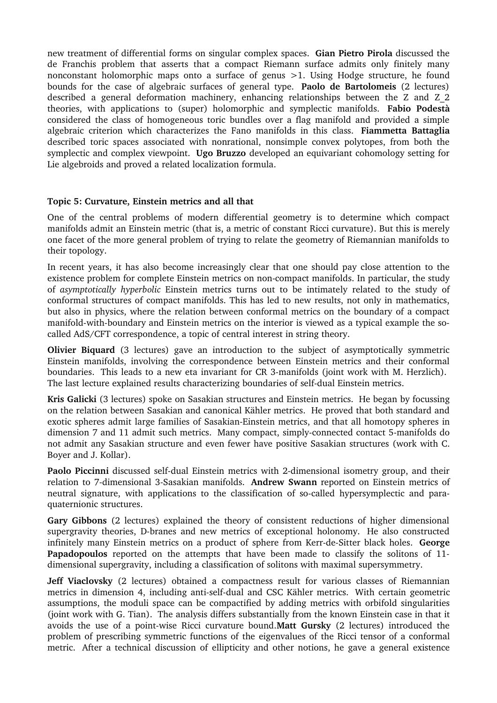new treatment of differential forms on singular complex spaces. **Gian Pietro Pirola** discussed the de Franchis problem that asserts that a compact Riemann surface admits only finitely many nonconstant holomorphic maps onto a surface of genus >1. Using Hodge structure, he found bounds for the case of algebraic surfaces of general type. **Paolo de Bartolomeis** (2 lectures) described a general deformation machinery, enhancing relationships between the Z and Z\_2 theories, with applications to (super) holomorphic and symplectic manifolds. **Fabio Podestà** considered the class of homogeneous toric bundles over a flag manifold and provided a simple algebraic criterion which characterizes the Fano manifolds in this class. **Fiammetta Battaglia** described toric spaces associated with nonrational, nonsimple convex polytopes, from both the symplectic and complex viewpoint. **Ugo Bruzzo** developed an equivariant cohomology setting for Lie algebroids and proved a related localization formula.

## **Topic 5: Curvature, Einstein metrics and all that**

One of the central problems of modern differential geometry is to determine which compact manifolds admit an Einstein metric (that is, a metric of constant Ricci curvature). But this is merely one facet of the more general problem of trying to relate the geometry of Riemannian manifolds to their topology.

In recent years, it has also become increasingly clear that one should pay close attention to the existence problem for complete Einstein metrics on non-compact manifolds. In particular, the study of *asymptotically hyperbolic* Einstein metrics turns out to be intimately related to the study of conformal structures of compact manifolds. This has led to new results, not only in mathematics, but also in physics, where the relation between conformal metrics on the boundary of a compact manifold-with-boundary and Einstein metrics on the interior is viewed as a typical example the socalled AdS/CFT correspondence, a topic of central interest in string theory.

**Olivier Biquard** (3 lectures) gave an introduction to the subject of asymptotically symmetric Einstein manifolds, involving the correspondence between Einstein metrics and their conformal boundaries. This leads to a new eta invariant for CR 3-manifolds (joint work with M. Herzlich). The last lecture explained results characterizing boundaries of self-dual Einstein metrics.

**Kris Galicki** (3 lectures) spoke on Sasakian structures and Einstein metrics. He began by focussing on the relation between Sasakian and canonical Kähler metrics. He proved that both standard and exotic spheres admit large families of Sasakian-Einstein metrics, and that all homotopy spheres in dimension 7 and 11 admit such metrics. Many compact, simply-connected contact 5-manifolds do not admit any Sasakian structure and even fewer have positive Sasakian structures (work with C. Boyer and J. Kollar).

**Paolo Piccinni** discussed self-dual Einstein metrics with 2-dimensional isometry group, and their relation to 7-dimensional 3-Sasakian manifolds. Andrew Swann reported on Einstein metrics of neutral signature, with applications to the classification of so-called hypersymplectic and paraquaternionic structures.

**Gary Gibbons** (2 lectures) explained the theory of consistent reductions of higher dimensional supergravity theories, D-branes and new metrics of exceptional holonomy. He also constructed infinitely many Einstein metrics on a product of sphere from Kerr-de-Sitter black holes. George **Papadopoulos** reported on the attempts that have been made to classify the solitons of 11 dimensional supergravity, including a classification of solitons with maximal supersymmetry.

**Jeff Viaclovsky** (2 lectures) obtained a compactness result for various classes of Riemannian metrics in dimension 4, including anti-self-dual and CSC Kähler metrics. With certain geometric assumptions, the moduli space can be compactified by adding metrics with orbifold singularities (joint work with G. Tian). The analysis differs substantially from the known Einstein case in that it avoids the use of a point-wise Ricci curvature bound.Matt Gursky (2 lectures) introduced the problem of prescribing symmetric functions of the eigenvalues of the Ricci tensor of a conformal metric. After a technical discussion of ellipticity and other notions, he gave a general existence